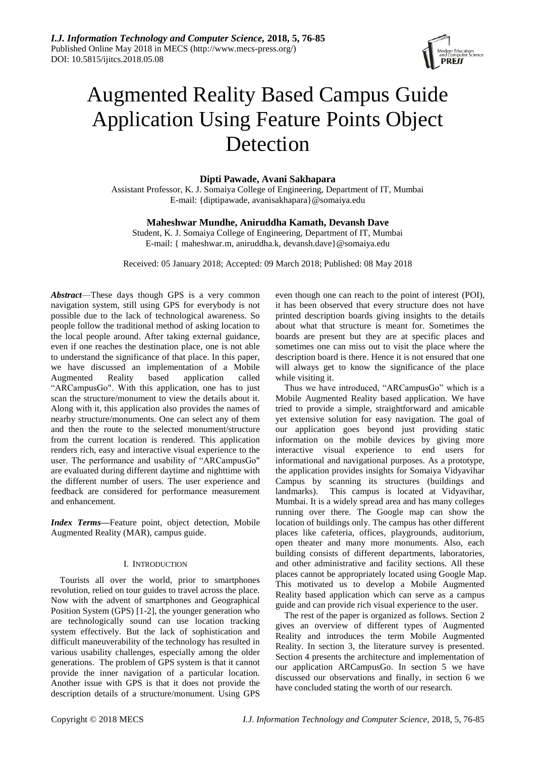

# Augmented Reality Based Campus Guide Application Using Feature Points Object Detection

# **Dipti Pawade, Avani Sakhapara**

Assistant Professor, K. J. Somaiya College of Engineering, Department of IT, Mumbai E-mail: {diptipawade, avanisakhapara}@somaiya.edu

# **Maheshwar Mundhe, Aniruddha Kamath, Devansh Dave**

Student, K. J. Somaiya College of Engineering, Department of IT, Mumbai E-mail: { maheshwar.m, aniruddha.k, devansh.dave}@somaiya.edu

Received: 05 January 2018; Accepted: 09 March 2018; Published: 08 May 2018

*Abstract*—These days though GPS is a very common navigation system, still using GPS for everybody is not possible due to the lack of technological awareness. So people follow the traditional method of asking location to the local people around. After taking external guidance, even if one reaches the destination place, one is not able to understand the significance of that place. In this paper, we have discussed an implementation of a Mobile Augmented Reality based application called "ARCampusGo". With this application, one has to just scan the structure/monument to view the details about it. Along with it, this application also provides the names of nearby structure/monuments. One can select any of them and then the route to the selected monument/structure from the current location is rendered. This application renders rich, easy and interactive visual experience to the user. The performance and usability of "ARCampusGo" are evaluated during different daytime and nighttime with the different number of users. The user experience and feedback are considered for performance measurement and enhancement.

*Index Terms***—**Feature point, object detection, Mobile Augmented Reality (MAR), campus guide.

## I. INTRODUCTION

Tourists all over the world, prior to smartphones revolution, relied on tour guides to travel across the place. Now with the advent of smartphones and Geographical Position System (GPS) [1-2], the younger generation who are technologically sound can use location tracking system effectively. But the lack of sophistication and difficult maneuverability of the technology has resulted in various usability challenges, especially among the older generations. The problem of GPS system is that it cannot provide the inner navigation of a particular location. Another issue with GPS is that it does not provide the description details of a structure/monument. Using GPS

even though one can reach to the point of interest (POI), it has been observed that every structure does not have printed description boards giving insights to the details about what that structure is meant for. Sometimes the boards are present but they are at specific places and sometimes one can miss out to visit the place where the description board is there. Hence it is not ensured that one will always get to know the significance of the place while visiting it.

Thus we have introduced, "ARCampusGo" which is a Mobile Augmented Reality based application. We have tried to provide a simple, straightforward and amicable yet extensive solution for easy navigation. The goal of our application goes beyond just providing static information on the mobile devices by giving more interactive visual experience to end users for informational and navigational purposes. As a prototype, the application provides insights for Somaiya Vidyavihar Campus by scanning its structures (buildings and landmarks). This campus is located at Vidyavihar, Mumbai. It is a widely spread area and has many colleges running over there. The Google map can show the location of buildings only. The campus has other different places like cafeteria, offices, playgrounds, auditorium, open theater and many more monuments. Also, each building consists of different departments, laboratories, and other administrative and facility sections. All these places cannot be appropriately located using Google Map. This motivated us to develop a Mobile Augmented Reality based application which can serve as a campus guide and can provide rich visual experience to the user.

The rest of the paper is organized as follows. Section 2 gives an overview of different types of Augmented Reality and introduces the term Mobile Augmented Reality. In section 3, the literature survey is presented. Section 4 presents the architecture and implementation of our application ARCampusGo. In section 5 we have discussed our observations and finally, in section 6 we have concluded stating the worth of our research.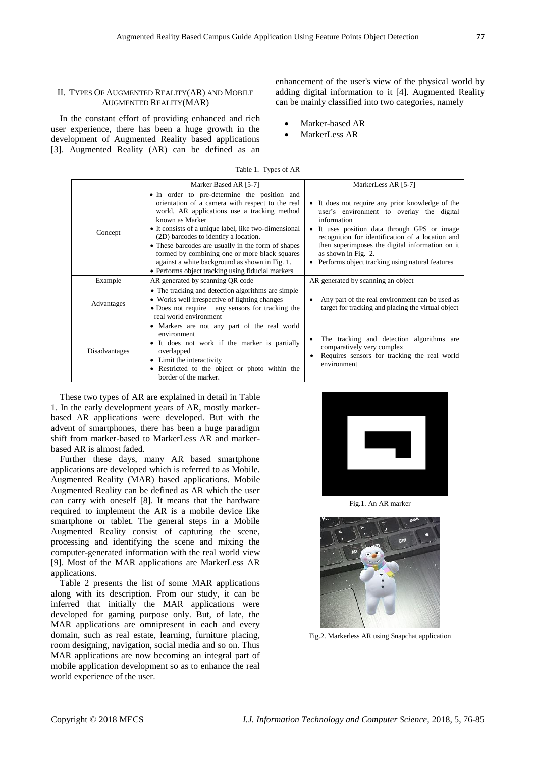## II. TYPES OF AUGMENTED REALITY(AR) AND MOBILE AUGMENTED REALITY(MAR)

In the constant effort of providing enhanced and rich user experience, there has been a huge growth in the development of Augmented Reality based applications [3]. Augmented Reality (AR) can be defined as an enhancement of the user's view of the physical world by adding digital information to it [4]. Augmented Reality can be mainly classified into two categories, namely

- Marker-based AR
- MarkerLess AR

| Table 1. Types of AR  |                     |
|-----------------------|---------------------|
| Marker Based AR [5-7] | MarkerLess AR [5-7] |

|               | Matket Dased AR 13-71                                                                                                                                                                                                                                                                                                                                                                                                                                                               | Matkelless AR [3-7]                                                                                                                                                                                                                                                                                                                           |  |
|---------------|-------------------------------------------------------------------------------------------------------------------------------------------------------------------------------------------------------------------------------------------------------------------------------------------------------------------------------------------------------------------------------------------------------------------------------------------------------------------------------------|-----------------------------------------------------------------------------------------------------------------------------------------------------------------------------------------------------------------------------------------------------------------------------------------------------------------------------------------------|--|
| Concept       | • In order to pre-determine the position and<br>orientation of a camera with respect to the real<br>world, AR applications use a tracking method<br>known as Marker<br>• It consists of a unique label, like two-dimensional<br>(2D) barcodes to identify a location.<br>• These barcodes are usually in the form of shapes<br>formed by combining one or more black squares<br>against a white background as shown in Fig. 1.<br>• Performs object tracking using fiducial markers | • It does not require any prior knowledge of the<br>user's environment to overlay the digital<br>information<br>It uses position data through GPS or image<br>recognition for identification of a location and<br>then superimposes the digital information on it<br>as shown in Fig. 2.<br>• Performs object tracking using natural features |  |
| Example       | AR generated by scanning QR code                                                                                                                                                                                                                                                                                                                                                                                                                                                    | AR generated by scanning an object                                                                                                                                                                                                                                                                                                            |  |
| Advantages    | • The tracking and detection algorithms are simple<br>• Works well irrespective of lighting changes<br>• Does not require any sensors for tracking the<br>real world environment                                                                                                                                                                                                                                                                                                    | Any part of the real environment can be used as<br>target for tracking and placing the virtual object                                                                                                                                                                                                                                         |  |
| Disadvantages | • Markers are not any part of the real world<br>environment<br>• It does not work if the marker is partially<br>overlapped<br>Limit the interactivity<br>٠<br>• Restricted to the object or photo within the<br>border of the marker.                                                                                                                                                                                                                                               | The tracking and detection algorithms are<br>comparatively very complex<br>Requires sensors for tracking the real world<br>environment                                                                                                                                                                                                        |  |

These two types of AR are explained in detail in Table 1. In the early development years of AR, mostly markerbased AR applications were developed. But with the advent of smartphones, there has been a huge paradigm shift from marker-based to MarkerLess AR and markerbased AR is almost faded.

Further these days, many AR based smartphone applications are developed which is referred to as Mobile. Augmented Reality (MAR) based applications. Mobile Augmented Reality can be defined as AR which the user can carry with oneself [8]. It means that the hardware required to implement the AR is a mobile device like smartphone or tablet. The general steps in a Mobile Augmented Reality consist of capturing the scene, processing and identifying the scene and mixing the computer-generated information with the real world view [9]. Most of the MAR applications are MarkerLess AR applications.

Table 2 presents the list of some MAR applications along with its description. From our study, it can be inferred that initially the MAR applications were developed for gaming purpose only. But, of late, the MAR applications are omnipresent in each and every domain, such as real estate, learning, furniture placing, room designing, navigation, social media and so on. Thus MAR applications are now becoming an integral part of mobile application development so as to enhance the real world experience of the user.



Fig.1. An AR marker



Fig.2. Markerless AR using Snapchat application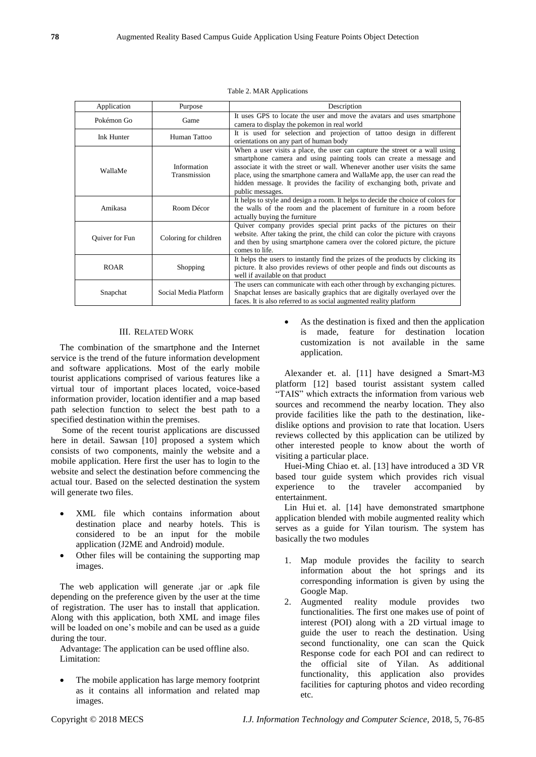| ۰              |  |
|----------------|--|
| 원 사<br>۰       |  |
| ۰.<br>M.<br>۰, |  |

|  |  | Table 2. MAR Applications |
|--|--|---------------------------|
|--|--|---------------------------|

| Application    | Purpose                     | Description                                                                                                                                                                                                                                                                                                                                                                                                    |
|----------------|-----------------------------|----------------------------------------------------------------------------------------------------------------------------------------------------------------------------------------------------------------------------------------------------------------------------------------------------------------------------------------------------------------------------------------------------------------|
| Pok énon Go    | Game                        | It uses GPS to locate the user and move the avatars and uses smartphone<br>camera to display the pokemon in real world                                                                                                                                                                                                                                                                                         |
| Ink Hunter     | Human Tattoo                | It is used for selection and projection of tattoo design in different<br>orientations on any part of human body                                                                                                                                                                                                                                                                                                |
| WallaMe        | Information<br>Transmission | When a user visits a place, the user can capture the street or a wall using<br>smartphone camera and using painting tools can create a message and<br>associate it with the street or wall. Whenever another user visits the same<br>place, using the smartphone camera and WallaMe app, the user can read the<br>hidden message. It provides the facility of exchanging both, private and<br>public messages. |
| Amikasa        | Room Décor                  | It helps to style and design a room. It helps to decide the choice of colors for<br>the walls of the room and the placement of furniture in a room before<br>actually buying the furniture                                                                                                                                                                                                                     |
| Quiver for Fun | Coloring for children       | Quiver company provides special print packs of the pictures on their<br>website. After taking the print, the child can color the picture with crayons<br>and then by using smartphone camera over the colored picture, the picture<br>comes to life.                                                                                                                                                           |
| <b>ROAR</b>    | Shopping                    | It helps the users to instantly find the prizes of the products by clicking its<br>picture. It also provides reviews of other people and finds out discounts as<br>well if available on that product                                                                                                                                                                                                           |
| Snapchat       | Social Media Platform       | The users can communicate with each other through by exchanging pictures.<br>Snapchat lenses are basically graphics that are digitally overlayed over the<br>faces. It is also referred to as social augmented reality platform                                                                                                                                                                                |

## III. RELATED WORK

The combination of the smartphone and the Internet service is the trend of the future information development and software applications. Most of the early mobile tourist applications comprised of various features like a virtual tour of important places located, voice-based information provider, location identifier and a map based path selection function to select the best path to a specified destination within the premises.

Some of the recent tourist applications are discussed here in detail. Sawsan [10] proposed a system which consists of two components, mainly the website and a mobile application. Here first the user has to login to the website and select the destination before commencing the actual tour. Based on the selected destination the system will generate two files.

- XML file which contains information about destination place and nearby hotels. This is considered to be an input for the mobile application (J2ME and Android) module.
- Other files will be containing the supporting map images.

The web application will generate .jar or .apk file depending on the preference given by the user at the time of registration. The user has to install that application. Along with this application, both XML and image files will be loaded on one's mobile and can be used as a guide during the tour.

Advantage: The application can be used offline also. Limitation:

• The mobile application has large memory footprint as it contains all information and related map images.

 As the destination is fixed and then the application is made, feature for destination location customization is not available in the same application.

Alexander et. al. [11] have designed a Smart-M3 platform [12] based tourist assistant system called "TAIS" which extracts the information from various web sources and recommend the nearby location. They also provide facilities like the path to the destination, likedislike options and provision to rate that location. Users reviews collected by this application can be utilized by other interested people to know about the worth of visiting a particular place.

Huei-Ming Chiao et. al. [13] have introduced a 3D VR based tour guide system which provides rich visual experience to the traveler accompanied by entertainment.

Lin Hui et. al. [14] have demonstrated smartphone application blended with mobile augmented reality which serves as a guide for Yilan tourism. The system has basically the two modules

- 1. Map module provides the facility to search information about the hot springs and its corresponding information is given by using the Google Map.
- 2. Augmented reality module provides two functionalities. The first one makes use of point of interest (POI) along with a 2D virtual image to guide the user to reach the destination. Using second functionality, one can scan the Quick Response code for each POI and can redirect to the official site of Yilan. As additional functionality, this application also provides facilities for capturing photos and video recording etc.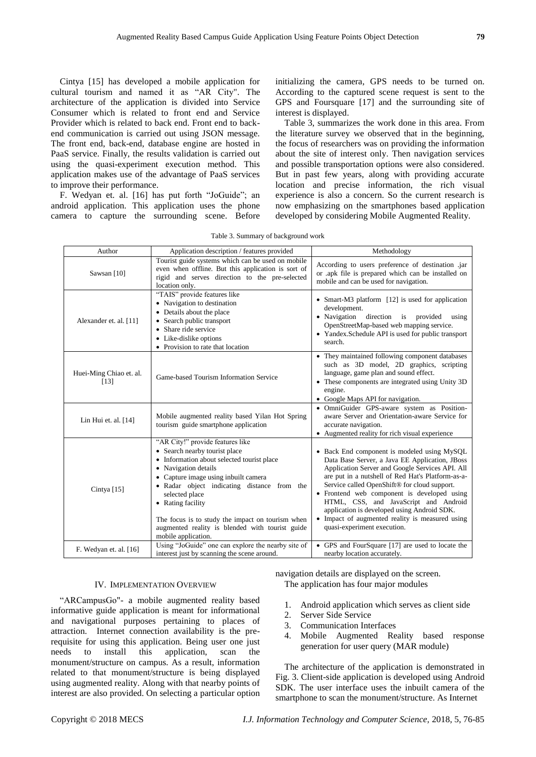Cintya [15] has developed a mobile application for cultural tourism and named it as "AR City". The architecture of the application is divided into Service Consumer which is related to front end and Service Provider which is related to back end. Front end to backend communication is carried out using JSON message. The front end, back-end, database engine are hosted in PaaS service. Finally, the results validation is carried out using the quasi-experiment execution method. This application makes use of the advantage of PaaS services to improve their performance.

F. Wedyan et. al. [16] has put forth "JoGuide"; an android application. This application uses the phone camera to capture the surrounding scene. Before

initializing the camera, GPS needs to be turned on. According to the captured scene request is sent to the GPS and Foursquare [17] and the surrounding site of interest is displayed.

Table 3, summarizes the work done in this area. From the literature survey we observed that in the beginning, the focus of researchers was on providing the information about the site of interest only. Then navigation services and possible transportation options were also considered. But in past few years, along with providing accurate location and precise information, the rich visual experience is also a concern. So the current research is now emphasizing on the smartphones based application developed by considering Mobile Augmented Reality.

| Author                          | Application description / features provided                                                                                                                                                                                                                                                                                                                                                         | Methodology                                                                                                                                                                                                                                                                                                                                                                                                                                                                    |
|---------------------------------|-----------------------------------------------------------------------------------------------------------------------------------------------------------------------------------------------------------------------------------------------------------------------------------------------------------------------------------------------------------------------------------------------------|--------------------------------------------------------------------------------------------------------------------------------------------------------------------------------------------------------------------------------------------------------------------------------------------------------------------------------------------------------------------------------------------------------------------------------------------------------------------------------|
| Sawsan [10]                     | Tourist guide systems which can be used on mobile<br>even when offline. But this application is sort of<br>rigid and serves direction to the pre-selected<br>location only.                                                                                                                                                                                                                         | According to users preference of destination .jar<br>or .apk file is prepared which can be installed on<br>mobile and can be used for navigation.                                                                                                                                                                                                                                                                                                                              |
| Alexander et. al. [11]          | "TAIS" provide features like<br>• Navigation to destination<br>• Details about the place<br>• Search public transport<br>• Share ride service<br>• Like-dislike options<br>• Provision to rate that location                                                                                                                                                                                        | • Smart-M3 platform [12] is used for application<br>development.<br>• Navigation<br>direction<br>is provided<br>using<br>OpenStreetMap-based web mapping service.<br>• Yandex.Schedule API is used for public transport<br>search.                                                                                                                                                                                                                                             |
| Huei-Ming Chiao et. al.<br>[13] | Game-based Tourism Information Service                                                                                                                                                                                                                                                                                                                                                              | • They maintained following component databases<br>such as 3D model, 2D graphics, scripting<br>language, game plan and sound effect.<br>• These components are integrated using Unity 3D<br>engine.<br>• Google Maps API for navigation.                                                                                                                                                                                                                                       |
| Lin Hui et. al. $[14]$          | Mobile augmented reality based Yilan Hot Spring<br>tourism guide smartphone application                                                                                                                                                                                                                                                                                                             | · OmniGuider GPS-aware system as Position-<br>aware Server and Orientation-aware Service for<br>accurate navigation.<br>• Augmented reality for rich visual experience                                                                                                                                                                                                                                                                                                         |
| Cintya [15]                     | "AR City!" provide features like<br>• Search nearby tourist place<br>• Information about selected tourist place<br>• Navigation details<br>• Capture image using inbuilt camera<br>• Radar object indicating distance from the<br>selected place<br>• Rating facility<br>The focus is to study the impact on tourism when<br>augmented reality is blended with tourist guide<br>mobile application. | • Back End component is modeled using MySQL<br>Data Base Server, a Java EE Application, JBoss<br>Application Server and Google Services API. All<br>are put in a nutshell of Red Hat's Platform-as-a-<br>Service called OpenShift® for cloud support.<br>• Frontend web component is developed using<br>HTML, CSS, and JavaScript and Android<br>application is developed using Android SDK.<br>• Impact of augmented reality is measured using<br>quasi-experiment execution. |
| F. Wedyan et. al. [16]          | Using "JoGuide" one can explore the nearby site of<br>interest just by scanning the scene around.                                                                                                                                                                                                                                                                                                   | • GPS and FourSquare [17] are used to locate the<br>nearby location accurately.                                                                                                                                                                                                                                                                                                                                                                                                |

## IV. IMPLEMENTATION OVERVIEW

"ARCampusGo"- a mobile augmented reality based informative guide application is meant for informational and navigational purposes pertaining to places of attraction. Internet connection availability is the prerequisite for using this application. Being user one just needs to install this application, scan the monument/structure on campus. As a result, information related to that monument/structure is being displayed using augmented reality. Along with that nearby points of interest are also provided. On selecting a particular option

navigation details are displayed on the screen.

The application has four major modules

- 1. Android application which serves as client side
- 2. Server Side Service
- 3. Communication Interfaces
- 4. Mobile Augmented Reality based response generation for user query (MAR module)

The architecture of the application is demonstrated in Fig. 3. Client-side application is developed using Android SDK. The user interface uses the inbuilt camera of the smartphone to scan the monument/structure. As Internet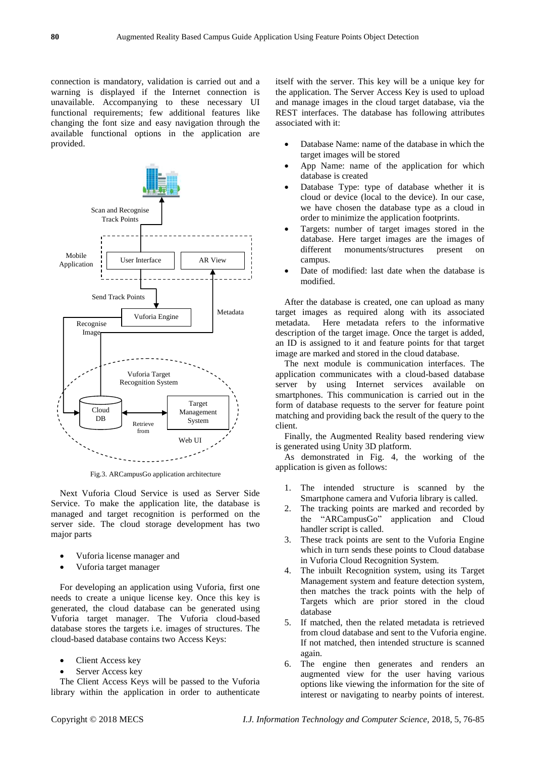connection is mandatory, validation is carried out and a warning is displayed if the Internet connection is unavailable. Accompanying to these necessary UI functional requirements; few additional features like changing the font size and easy navigation through the available functional options in the application are provided.



Fig.3. ARCampusGo application architecture

Next Vuforia Cloud Service is used as Server Side Service. To make the application lite, the database is managed and target recognition is performed on the server side. The cloud storage development has two major parts

- Vuforia license manager and
- Vuforia target manager

For developing an application using Vuforia, first one needs to create a unique license key. Once this key is generated, the cloud database can be generated using Vuforia target manager. The Vuforia cloud-based database stores the targets i.e. images of structures. The cloud-based database contains two Access Keys:

- Client Access key
- Server Access key

The Client Access Keys will be passed to the Vuforia library within the application in order to authenticate itself with the server. This key will be a unique key for the application. The Server Access Key is used to upload and manage images in the cloud target database, via the REST interfaces. The database has following attributes associated with it:

- Database Name: name of the database in which the target images will be stored
- App Name: name of the application for which database is created
- Database Type: type of database whether it is cloud or device (local to the device). In our case, we have chosen the database type as a cloud in order to minimize the application footprints.
- Targets: number of target images stored in the database. Here target images are the images of different monuments/structures present on campus.
- Date of modified: last date when the database is modified.

After the database is created, one can upload as many target images as required along with its associated metadata. Here metadata refers to the informative description of the target image. Once the target is added, an ID is assigned to it and feature points for that target image are marked and stored in the cloud database.

The next module is communication interfaces. The application communicates with a cloud-based database server by using Internet services available on smartphones. This communication is carried out in the form of database requests to the server for feature point matching and providing back the result of the query to the client.

Finally, the Augmented Reality based rendering view is generated using Unity 3D platform.

As demonstrated in Fig. 4, the working of the application is given as follows:

- 1. The intended structure is scanned by the Smartphone camera and Vuforia library is called.
- 2. The tracking points are marked and recorded by the "ARCampusGo" application and Cloud handler script is called.
- 3. These track points are sent to the Vuforia Engine which in turn sends these points to Cloud database in Vuforia Cloud Recognition System.
- 4. The inbuilt Recognition system, using its Target Management system and feature detection system, then matches the track points with the help of Targets which are prior stored in the cloud database
- 5. If matched, then the related metadata is retrieved from cloud database and sent to the Vuforia engine. If not matched, then intended structure is scanned again.
- 6. The engine then generates and renders an augmented view for the user having various options like viewing the information for the site of interest or navigating to nearby points of interest.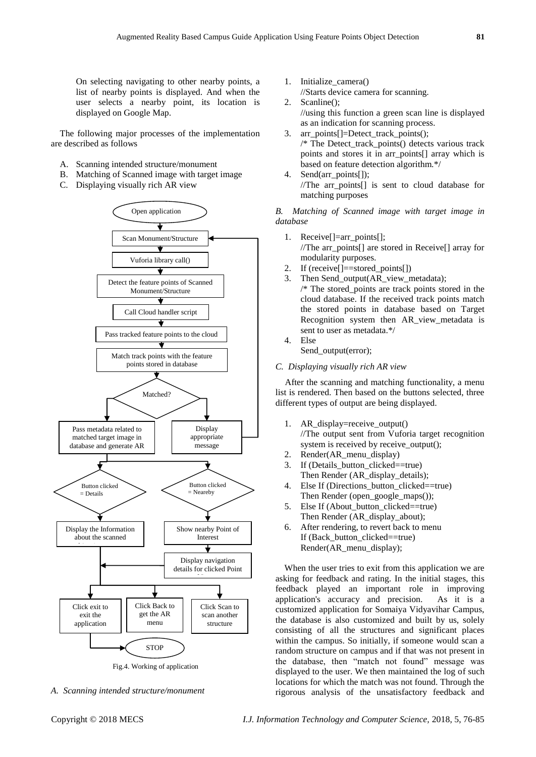On selecting navigating to other nearby points, a list of nearby points is displayed. And when the user selects a nearby point, its location is displayed on Google Map.

The following major processes of the implementation are described as follows

- A. Scanning intended structure/monument
- B. Matching of Scanned image with target image
- C. Displaying visually rich AR view



Fig.4. Working of application

*A. Scanning intended structure/monument*

- 1. Initialize\_camera()
- //Starts device camera for scanning.
- 2. Scanline(); //using this function a green scan line is displayed as an indication for scanning process.
- 3. arr\_points[]=Detect\_track\_points();  $/*$  The Detect track points() detects various track points and stores it in arr\_points[] array which is based on feature detection algorithm.\*/
- 4. Send(arr\_points[1); //The arr\_points[] is sent to cloud database for matching purposes

*B. Matching of Scanned image with target image in database* 

- 1. Receive[]=arr\_points[]; //The arr\_points[] are stored in Receive[] array for modularity purposes.
- 2. If (receive[]==stored\_points[])
- 3. Then Send\_output(AR\_view\_metadata); /\* The stored\_points are track points stored in the cloud database. If the received track points match the stored points in database based on Target Recognition system then AR\_view\_metadata is sent to user as metadata.\*/
- 4. Else

Send\_output(error);

*C. Displaying visually rich AR view*

After the scanning and matching functionality, a menu list is rendered. Then based on the buttons selected, three different types of output are being displayed.

- 1. AR display=receive output() //The output sent from Vuforia target recognition system is received by receive\_output();
- 2. Render(AR\_menu\_display)
- 3. If (Details\_button\_clicked==true) Then Render (AR\_display\_details);
- 4. Else If (Directions\_button\_clicked==true) Then Render (open\_google\_maps());
- 5. Else If (About\_button\_clicked==true) Then Render (AR\_display\_about);
- 6. After rendering, to revert back to menu If (Back button clicked==true) Render(AR\_menu\_display);

When the user tries to exit from this application we are asking for feedback and rating. In the initial stages, this feedback played an important role in improving application's accuracy and precision. As it is a customized application for Somaiya Vidyavihar Campus, the database is also customized and built by us, solely consisting of all the structures and significant places within the campus. So initially, if someone would scan a random structure on campus and if that was not present in the database, then "match not found" message was displayed to the user. We then maintained the log of such locations for which the match was not found. Through the rigorous analysis of the unsatisfactory feedback and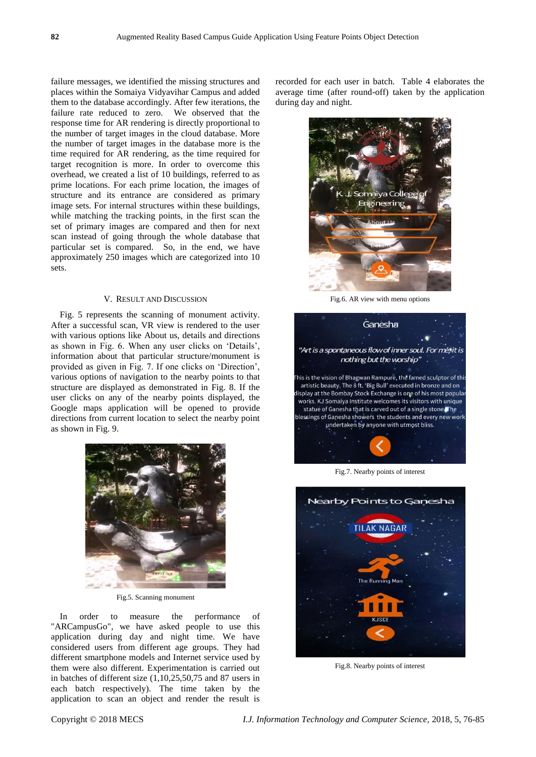failure messages, we identified the missing structures and places within the Somaiya Vidyavihar Campus and added them to the database accordingly. After few iterations, the failure rate reduced to zero. We observed that the response time for AR rendering is directly proportional to the number of target images in the cloud database. More the number of target images in the database more is the time required for AR rendering, as the time required for target recognition is more. In order to overcome this overhead, we created a list of 10 buildings, referred to as prime locations. For each prime location, the images of structure and its entrance are considered as primary image sets. For internal structures within these buildings, while matching the tracking points, in the first scan the set of primary images are compared and then for next scan instead of going through the whole database that particular set is compared. So, in the end, we have approximately 250 images which are categorized into 10 sets.

## V. RESULT AND DISCUSSION

Fig. 5 represents the scanning of monument activity. After a successful scan, VR view is rendered to the user with various options like About us, details and directions as shown in Fig. 6. When any user clicks on 'Details', information about that particular structure/monument is provided as given in Fig. 7. If one clicks on 'Direction', various options of navigation to the nearby points to that structure are displayed as demonstrated in Fig. 8. If the user clicks on any of the nearby points displayed, the Google maps application will be opened to provide directions from current location to select the nearby point as shown in Fig. 9.



Fig.5. Scanning monument

In order to measure the performance of "ARCampusGo", we have asked people to use this application during day and night time. We have considered users from different age groups. They had different smartphone models and Internet service used by them were also different. Experimentation is carried out in batches of different size (1,10,25,50,75 and 87 users in each batch respectively). The time taken by the application to scan an object and render the result is

recorded for each user in batch. Table 4 elaborates the average time (after round-off) taken by the application during day and night.



Fig.6. AR view with menu options



Fig.7. Nearby points of interest



Fig.8. Nearby points of interest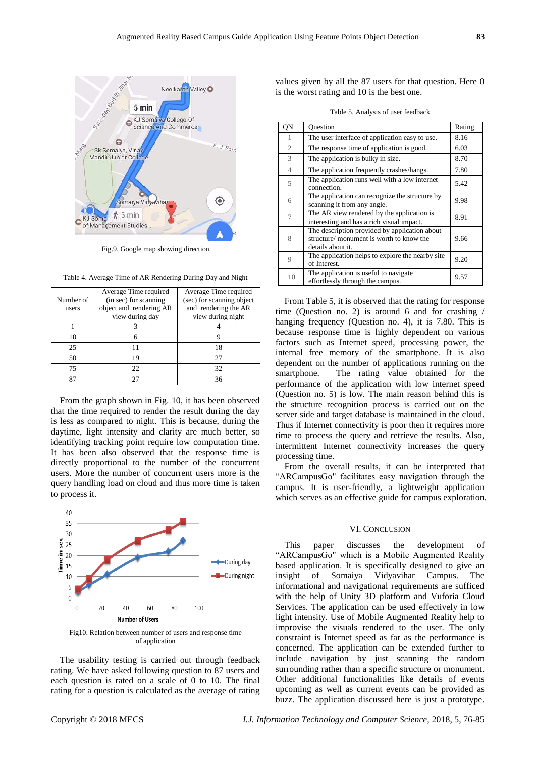

Fig.9. Google map showing direction

Table 4. Average Time of AR Rendering During Day and Night

|                                    | Average Time required                           | Average Time required     |  |
|------------------------------------|-------------------------------------------------|---------------------------|--|
| (in sec) for scanning<br>Number of |                                                 | (sec) for scanning object |  |
| users                              | object and rendering AR<br>and rendering the AR |                           |  |
|                                    | view during day                                 | view during night         |  |
|                                    |                                                 |                           |  |
| 10                                 | 6                                               |                           |  |
| 25                                 |                                                 |                           |  |
| 50                                 | 19                                              | 27                        |  |
| 75                                 | 22.                                             | 32                        |  |
| 87                                 | 27                                              | 36                        |  |

From the graph shown in Fig. 10, it has been observed that the time required to render the result during the day is less as compared to night. This is because, during the daytime, light intensity and clarity are much better, so identifying tracking point require low computation time. It has been also observed that the response time is directly proportional to the number of the concurrent users. More the number of concurrent users more is the query handling load on cloud and thus more time is taken to process it.



Fig10. Relation between number of users and response time of application

The usability testing is carried out through feedback rating. We have asked following question to 87 users and each question is rated on a scale of 0 to 10. The final rating for a question is calculated as the average of rating values given by all the 87 users for that question. Here 0 is the worst rating and 10 is the best one.

|  | Table 5. Analysis of user feedback |
|--|------------------------------------|
|--|------------------------------------|

| QN             | Ouestion                                                                                                       | Rating |
|----------------|----------------------------------------------------------------------------------------------------------------|--------|
| -1             | The user interface of application easy to use.                                                                 | 8.16   |
| 2              | The response time of application is good.                                                                      | 6.03   |
| 3              | The application is bulky in size.                                                                              | 8.70   |
| $\overline{4}$ | The application frequently crashes/hangs.                                                                      | 7.80   |
| 5              | The application runs well with a low internet<br>connection.                                                   | 5.42   |
| 6              | The application can recognize the structure by<br>scanning it from any angle.                                  | 9.98   |
|                | The AR view rendered by the application is<br>interesting and has a rich visual impact.                        | 8.91   |
| 8              | The description provided by application about<br>structure/ monument is worth to know the<br>details about it. | 9.66   |
| $\mathbf Q$    | The application helps to explore the nearby site.<br>of Interest.                                              | 9.20   |
| 10             | The application is useful to navigate<br>effortlessly through the campus.                                      | 9.57   |

From Table 5, it is observed that the rating for response time (Question no. 2) is around 6 and for crashing / hanging frequency (Question no. 4), it is 7.80. This is because response time is highly dependent on various factors such as Internet speed, processing power, the internal free memory of the smartphone. It is also dependent on the number of applications running on the smartphone. The rating value obtained for the performance of the application with low internet speed (Question no. 5) is low. The main reason behind this is the structure recognition process is carried out on the server side and target database is maintained in the cloud. Thus if Internet connectivity is poor then it requires more time to process the query and retrieve the results. Also, intermittent Internet connectivity increases the query processing time.

From the overall results, it can be interpreted that "ARCampusGo" facilitates easy navigation through the campus. It is user-friendly, a lightweight application which serves as an effective guide for campus exploration.

#### VI. CONCLUSION

This paper discusses the development of "ARCampusGo" which is a Mobile Augmented Reality based application. It is specifically designed to give an insight of Somaiya Vidyavihar Campus. The informational and navigational requirements are sufficed with the help of Unity 3D platform and Vuforia Cloud Services. The application can be used effectively in low light intensity. Use of Mobile Augmented Reality help to improvise the visuals rendered to the user. The only constraint is Internet speed as far as the performance is concerned. The application can be extended further to include navigation by just scanning the random surrounding rather than a specific structure or monument. Other additional functionalities like details of events upcoming as well as current events can be provided as buzz. The application discussed here is just a prototype.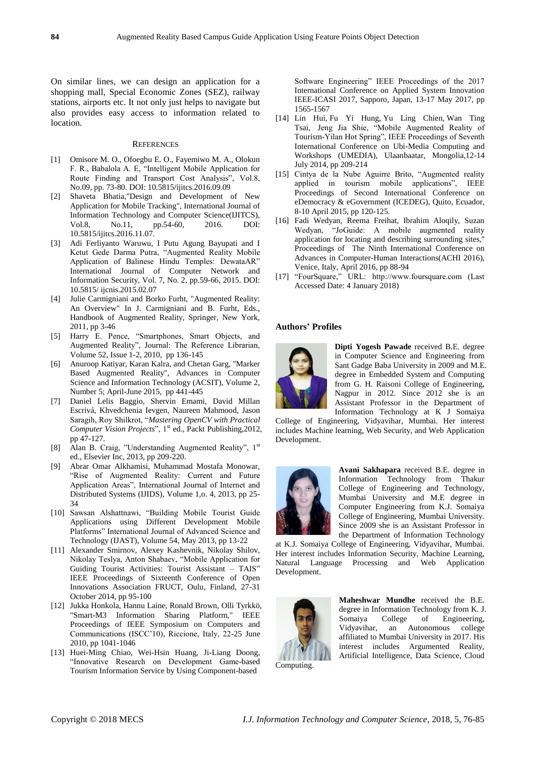On similar lines, we can design an application for a shopping mall, Special Economic Zones (SEZ), railway stations, airports etc. It not only just helps to navigate but also provides easy access to information related to location.

## **REFERENCES**

- [1] Omisore M. O., Ofoegbu E. O., Fayemiwo M. A., Olokun F. R., Babalola A. E, "Intelligent Mobile Application for Route Finding and Transport Cost Analysis", Vol.8, No.09, pp. 73-80. DOI: 10.5815/ijitcs.2016.09.09
- [2] Shaveta Bhatia,"Design and Development of New Application for Mobile Tracking", International Journal of Information Technology and Computer Science(IJITCS), Vol.8, No.11, pp.54-60, 2016. DOI: 10.5815/ijitcs.2016.11.07.
- [3] Adi Ferliyanto Waruwu, I Putu Agung Bayupati and I Ketut Gede Darma Putra, "Augmented Reality Mobile Application of Balinese Hindu Temples: DewataAR" International Journal of Computer Network and Information Security, Vol. 7, No. 2, pp.59-66, 2015. DOI: 10.5815/ ijcnis.2015.02.07
- [4] Julie Carmigniani and Borko Furht, "Augmented Reality: An Overview" In J. Carmigniani and B. Furht, Eds., Handbook of Augmented Reality, Springer, New York, 2011, pp 3-46
- [5] Harry E. Pence, "Smartphones, Smart Objects, and Augmented Reality", Journal: The Reference Librarian, Volume 52, Issue 1-2, 2010, pp 136-145
- [6] Anuroop Katiyar, Karan Kalra, and Chetan Garg, "Marker Based Augmented Reality", Advances in Computer Science and Information Technology (ACSIT), Volume 2, Number 5; April-June 2015, pp 441-445
- [7] Daniel Lelis Baggio, Shervin Emami, David Millan Escrivá, Khvedchenia Ievgen, Naureen Mahmood, Jason Saragih, Roy Shilkrot, "*Mastering OpenCV with Practical Computer Vision Projects*", 1<sup>st</sup> ed., Packt Publishing,2012, pp 47-127.
- [8] Alan B. Craig, "Understanding Augmented Reality", 1st ed., Elsevier Inc, 2013, pp 209-220.
- [9] Abrar Omar Alkhamisi, Muhammad Mostafa Monowar, "Rise of Augmented Reality: Current and Future Application Areas", International Journal of Internet and Distributed Systems (IJIDS), Volume 1,o. 4, 2013, pp 25- 34
- [10] Sawsan Alshattnawi, "Building Mobile Tourist Guide Applications using Different Development Mobile Platforms" International Journal of Advanced Science and Technology (IJAST), Volume 54, May 2013, pp 13-22
- [11] Alexander Smirnov, Alexey Kashevnik, Nikolay Shilov, Nikolay Teslya, Anton Shabaev, "Mobile Application for Guiding Tourist Activities: Tourist Assistant – TAIS" IEEE Proceedings of Sixteenth Conference of Open Innovations Association FRUCT, Oulu, Finland, 27-31 October 2014, pp 95-100
- [12] Jukka Honkola, Hannu Laine, Ronald Brown, Olli Tyrkkö, "Smart-M3 Information Sharing Platform," IEEE Proceedings of IEEE Symposium on Computers and Communications (ISCC'10), Riccione, Italy, 22-25 June 2010, pp 1041-1046
- [13] Huei-Ming Chiao, Wei-Hsin Huang, Ji-Liang Doong, "Innovative Research on Development Game-based Tourism Information Service by Using Component-based

Software Engineering" IEEE Proceedings of the 2017 International Conference on Applied System Innovation IEEE-ICASI 2017, Sapporo, Japan, 13-17 May 2017, pp 1565-1567

- [14] Lin Hui, Fu Yi Hung, Yu Ling Chien, Wan Ting Tsai, Jeng Jia Shie, "Mobile Augmented Reality of Tourism-Yilan Hot Spring", IEEE Proceedings of Seventh International Conference on Ubi-Media Computing and Workshops (UMEDIA), Ulaanbaatar, Mongolia,12-14 July 2014, pp 209-214
- [15] Cintya de la Nube Aguirre Brito, "Augmented reality applied in tourism mobile applications", IEEE Proceedings of Second International Conference on eDemocracy & eGovernment (ICEDEG), Quito, Ecuador, 8-10 April 2015, pp 120-125.
- [16] Fadi Wedyan, Reema Freihat, Ibrahim Aloqily, Suzan Wedyan, "JoGuide: A mobile augmented reality application for locating and describing surrounding sites,'' Proceedings of The Ninth International Conference on Advances in Computer-Human Interactions(ACHI 2016), Venice, Italy, April 2016, pp 88-94
- [17] "FourSquare," URL: http://www.foursquare.com (Last Accessed Date: 4 January 2018)

## **Authors' Profiles**



**Dipti Yogesh Pawade** received B.E. degree in Computer Science and Engineering from Sant Gadge Baba University in 2009 and M.E. degree in Embedded System and Computing from G. H. Raisoni College of Engineering, Nagpur in 2012. Since 2012 she is an Assistant Professor in the Department of Information Technology at K J Somaiya

College of Engineering, Vidyavihar, Mumbai. Her interest includes Machine learning, Web Security, and Web Application Development.



**Avani Sakhapara** received B.E. degree in Information Technology from Thakur College of Engineering and Technology, Mumbai University and M.E degree in Computer Engineering from K.J. Somaiya College of Engineering, Mumbai University. Since 2009 she is an Assistant Professor in the Department of Information Technology

at K.J. Somaiya College of Engineering, Vidyavihar, Mumbai. Her interest includes Information Security, Machine Learning, Natural Language Processing and Web Application Development.



**Maheshwar Mundhe** received the B.E. degree in Information Technology from K. J.<br>Somaiya College of Engineering, Somaiya College of Engineering, Vidyavihar, an Autonomous college affiliated to Mumbai University in 2017. His interest includes Argumented Reality, Artificial Intelligence, Data Science, Cloud

Computing.